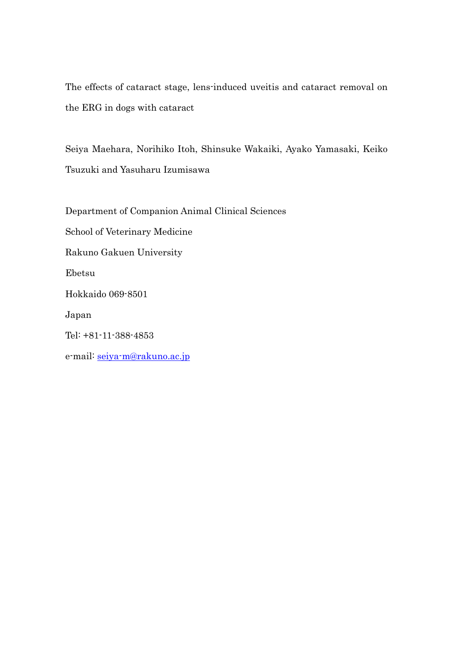The effects of cataract stage, lens-induced uveitis and cataract removal on the ERG in dogs with cataract

Seiya Maehara, Norihiko Itoh, Shinsuke Wakaiki, Ayako Yamasaki, Keiko Tsuzuki and Yasuharu Izumisawa

Department of Companion Animal Clinical Sciences

School of Veterinary Medicine

Rakuno Gakuen University

Ebetsu

Hokkaido 069-8501

Japan

Tel: +81-11-388-4853

e-mail: [seiya-m@rakuno.ac.jp](mailto:seiya-m@rakuno.ac.jp)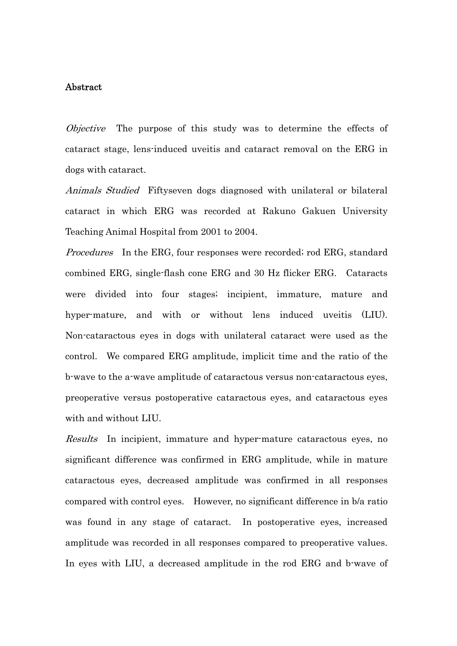# Abstract

Objective The purpose of this study was to determine the effects of cataract stage, lens-induced uveitis and cataract removal on the ERG in dogs with cataract.

Animals Studied Fiftyseven dogs diagnosed with unilateral or bilateral cataract in which ERG was recorded at Rakuno Gakuen University Teaching Animal Hospital from 2001 to 2004.

Procedures In the ERG, four responses were recorded; rod ERG, standard combined ERG, single-flash cone ERG and 30 Hz flicker ERG. Cataracts were divided into four stages; incipient, immature, mature and hyper-mature, and with or without lens induced uveitis (LIU). Non-cataractous eyes in dogs with unilateral cataract were used as the control. We compared ERG amplitude, implicit time and the ratio of the b-wave to the a-wave amplitude of cataractous versus non-cataractous eyes, preoperative versus postoperative cataractous eyes, and cataractous eyes with and without LIU.

Results In incipient, immature and hyper-mature cataractous eyes, no significant difference was confirmed in ERG amplitude, while in mature cataractous eyes, decreased amplitude was confirmed in all responses compared with control eyes. However, no significant difference in b/a ratio was found in any stage of cataract. In postoperative eyes, increased amplitude was recorded in all responses compared to preoperative values. In eyes with LIU, a decreased amplitude in the rod ERG and b-wave of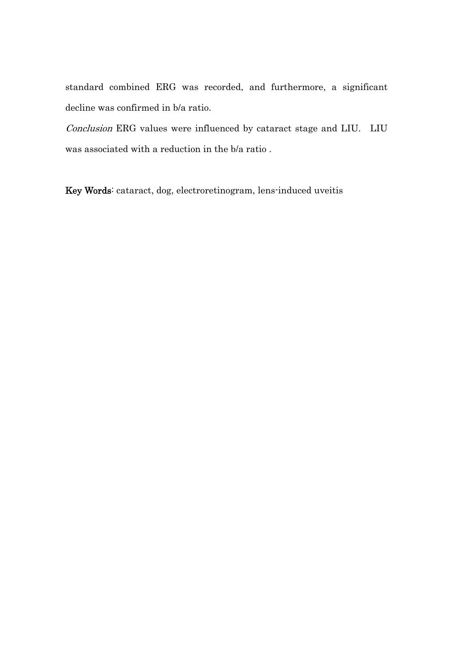standard combined ERG was recorded, and furthermore, a significant decline was confirmed in b/a ratio.

Conclusion ERG values were influenced by cataract stage and LIU. LIU was associated with a reduction in the b/a ratio .

Key Words: cataract, dog, electroretinogram, lens-induced uveitis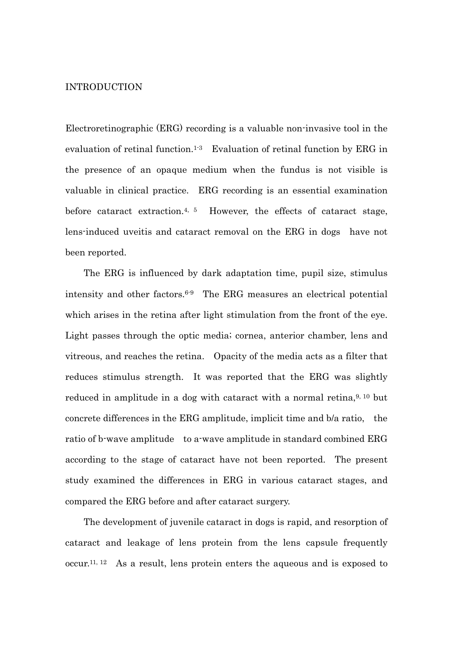## INTRODUCTION

Electroretinographic (ERG) recording is a valuable non-invasive tool in the evaluation of retinal function.<sup>1-3</sup> Evaluation of retinal function by ERG in the presence of an opaque medium when the fundus is not visible is valuable in clinical practice. ERG recording is an essential examination before cataract extraction.<sup>4, 5</sup> However, the effects of cataract stage, lens-induced uveitis and cataract removal on the ERG in dogs have not been reported.

 The ERG is influenced by dark adaptation time, pupil size, stimulus intensity and other factors.6-9 The ERG measures an electrical potential which arises in the retina after light stimulation from the front of the eye. Light passes through the optic media; cornea, anterior chamber, lens and vitreous, and reaches the retina. Opacity of the media acts as a filter that reduces stimulus strength. It was reported that the ERG was slightly reduced in amplitude in a dog with cataract with a normal retina,  $9, 10$  but concrete differences in the ERG amplitude, implicit time and b/a ratio, the ratio of b-wave amplitude to a-wave amplitude in standard combined ERG according to the stage of cataract have not been reported. The present study examined the differences in ERG in various cataract stages, and compared the ERG before and after cataract surgery.

 The development of juvenile cataract in dogs is rapid, and resorption of cataract and leakage of lens protein from the lens capsule frequently occur.11, 12 As a result, lens protein enters the aqueous and is exposed to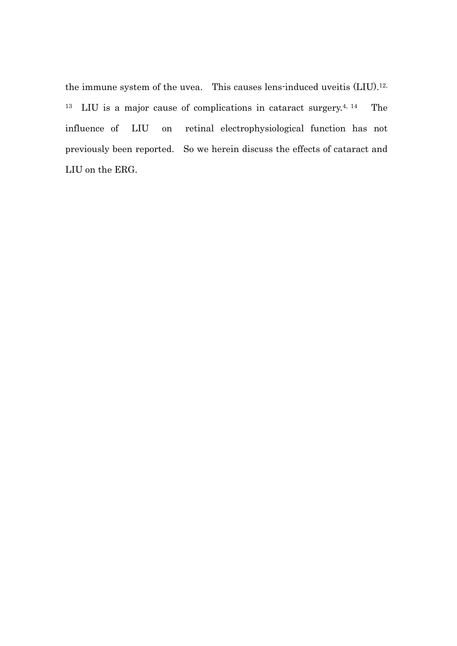the immune system of the uvea. This causes lens-induced uveitis (LIU).12, 13 LIU is a major cause of complications in cataract surgery.4, 14 The influence of LIU on retinal electrophysiological function has not previously been reported. So we herein discuss the effects of cataract and LIU on the ERG.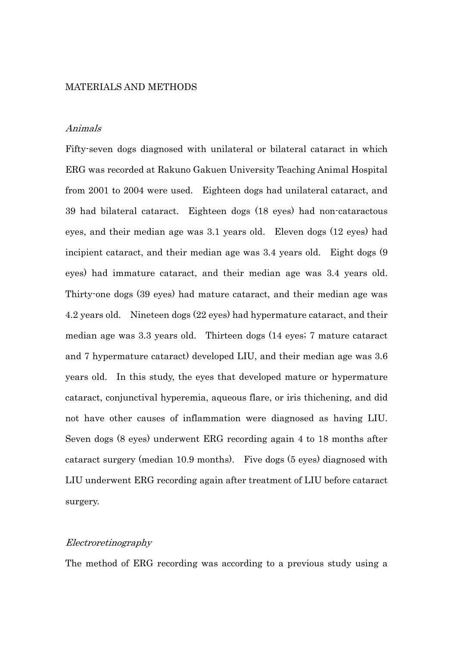## MATERIALS AND METHODS

#### Animals

Fifty-seven dogs diagnosed with unilateral or bilateral cataract in which ERG was recorded at Rakuno Gakuen University Teaching Animal Hospital from 2001 to 2004 were used. Eighteen dogs had unilateral cataract, and 39 had bilateral cataract. Eighteen dogs (18 eyes) had non-cataractous eyes, and their median age was 3.1 years old. Eleven dogs (12 eyes) had incipient cataract, and their median age was 3.4 years old. Eight dogs (9) eyes) had immature cataract, and their median age was 3.4 years old. Thirty-one dogs (39 eyes) had mature cataract, and their median age was 4.2 years old. Nineteen dogs (22 eyes) had hypermature cataract, and their median age was 3.3 years old. Thirteen dogs (14 eyes; 7 mature cataract and 7 hypermature cataract) developed LIU, and their median age was 3.6 years old. In this study, the eyes that developed mature or hypermature cataract, conjunctival hyperemia, aqueous flare, or iris thichening, and did not have other causes of inflammation were diagnosed as having LIU. Seven dogs (8 eyes) underwent ERG recording again 4 to 18 months after cataract surgery (median 10.9 months). Five dogs (5 eyes) diagnosed with LIU underwent ERG recording again after treatment of LIU before cataract surgery.

# Electroretinography

The method of ERG recording was according to a previous study using a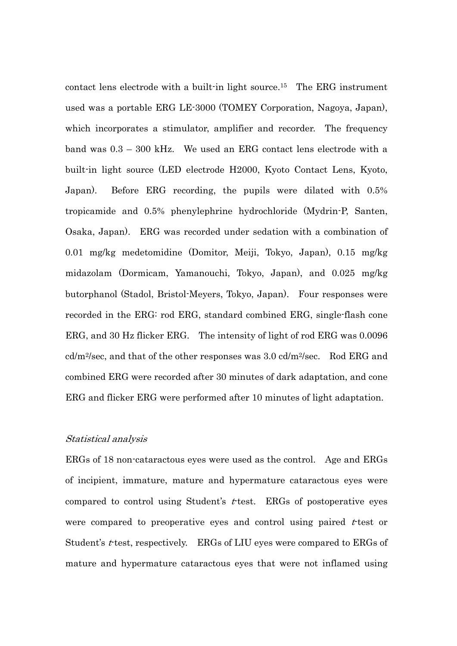contact lens electrode with a built-in light source.15 The ERG instrument used was a portable ERG LE-3000 (TOMEY Corporation, Nagoya, Japan), which incorporates a stimulator, amplifier and recorder. The frequency band was 0.3 – 300 kHz. We used an ERG contact lens electrode with a built-in light source (LED electrode H2000, Kyoto Contact Lens, Kyoto, Japan). Before ERG recording, the pupils were dilated with 0.5% tropicamide and 0.5% phenylephrine hydrochloride (Mydrin-P, Santen, Osaka, Japan). ERG was recorded under sedation with a combination of 0.01 mg/kg medetomidine (Domitor, Meiji, Tokyo, Japan), 0.15 mg/kg midazolam (Dormicam, Yamanouchi, Tokyo, Japan), and 0.025 mg/kg butorphanol (Stadol, Bristol-Meyers, Tokyo, Japan). Four responses were recorded in the ERG: rod ERG, standard combined ERG, single-flash cone ERG, and 30 Hz flicker ERG. The intensity of light of rod ERG was 0.0096 cd/m2/sec, and that of the other responses was 3.0 cd/m2/sec. Rod ERG and combined ERG were recorded after 30 minutes of dark adaptation, and cone ERG and flicker ERG were performed after 10 minutes of light adaptation.

## Statistical analysis

ERGs of 18 non-cataractous eyes were used as the control. Age and ERGs of incipient, immature, mature and hypermature cataractous eyes were compared to control using Student's  $t$ -test. ERGs of postoperative eyes were compared to preoperative eyes and control using paired  $t$ -test or Student's  $t$ -test, respectively. ERGs of LIU eyes were compared to ERGs of mature and hypermature cataractous eyes that were not inflamed using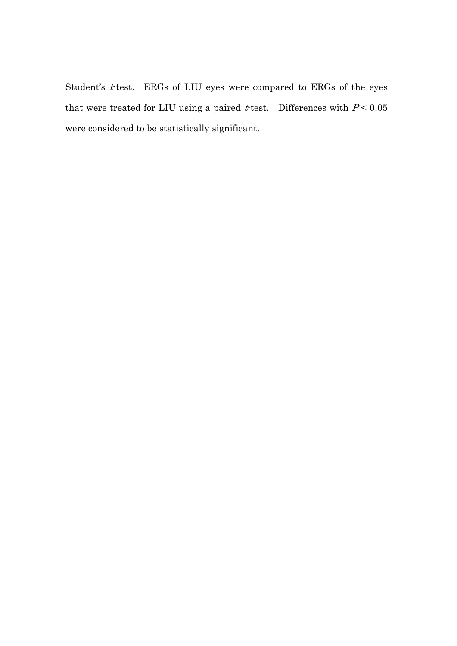Student's  $t$ -test. ERGs of LIU eyes were compared to ERGs of the eyes that were treated for LIU using a paired *t*-test. Differences with  $P < 0.05$ were considered to be statistically significant.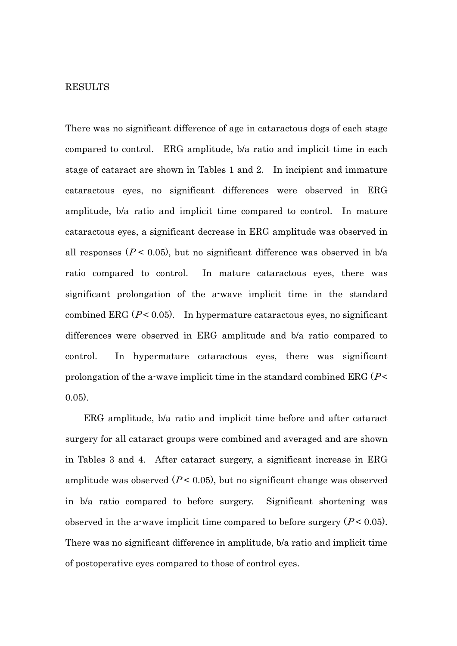### RESULTS

There was no significant difference of age in cataractous dogs of each stage compared to control. ERG amplitude, b/a ratio and implicit time in each stage of cataract are shown in Tables 1 and 2. In incipient and immature cataractous eyes, no significant differences were observed in ERG amplitude, b/a ratio and implicit time compared to control. In mature cataractous eyes, a significant decrease in ERG amplitude was observed in all responses ( $P < 0.05$ ), but no significant difference was observed in b/a ratio compared to control. In mature cataractous eyes, there was significant prolongation of the a-wave implicit time in the standard combined ERG ( $P < 0.05$ ). In hypermature cataractous eyes, no significant differences were observed in ERG amplitude and b/a ratio compared to control. In hypermature cataractous eyes, there was significant prolongation of the a-wave implicit time in the standard combined  $ERG (P \leq$ 0.05).

 ERG amplitude, b/a ratio and implicit time before and after cataract surgery for all cataract groups were combined and averaged and are shown in Tables 3 and 4. After cataract surgery, a significant increase in ERG amplitude was observed  $(P < 0.05)$ , but no significant change was observed in b/a ratio compared to before surgery. Significant shortening was observed in the a-wave implicit time compared to before surgery  $(P < 0.05)$ . There was no significant difference in amplitude, b/a ratio and implicit time of postoperative eyes compared to those of control eyes.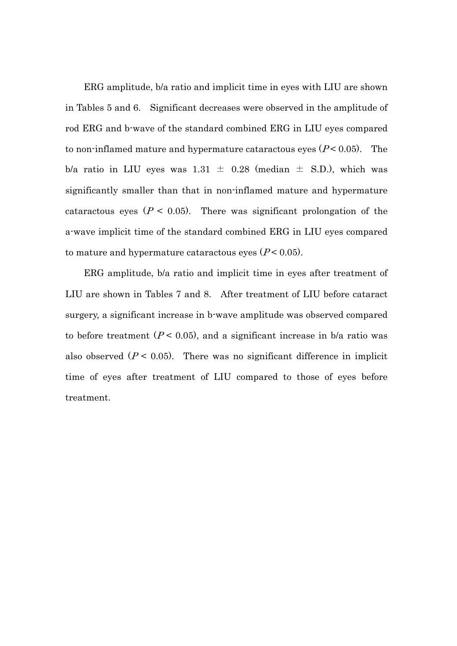ERG amplitude, b/a ratio and implicit time in eyes with LIU are shown in Tables 5 and 6. Significant decreases were observed in the amplitude of rod ERG and b-wave of the standard combined ERG in LIU eyes compared to non-inflamed mature and hypermature cataractous eyes  $(P < 0.05)$ . The b/a ratio in LIU eyes was  $1.31 \pm 0.28$  (median  $\pm$  S.D.), which was significantly smaller than that in non-inflamed mature and hypermature cataractous eyes ( $P < 0.05$ ). There was significant prolongation of the a-wave implicit time of the standard combined ERG in LIU eyes compared to mature and hypermature cataractous eyes  $(P < 0.05)$ .

ERG amplitude, b/a ratio and implicit time in eyes after treatment of LIU are shown in Tables 7 and 8. After treatment of LIU before cataract surgery, a significant increase in b-wave amplitude was observed compared to before treatment  $(P < 0.05)$ , and a significant increase in b/a ratio was also observed  $(P < 0.05)$ . There was no significant difference in implicit time of eyes after treatment of LIU compared to those of eyes before treatment.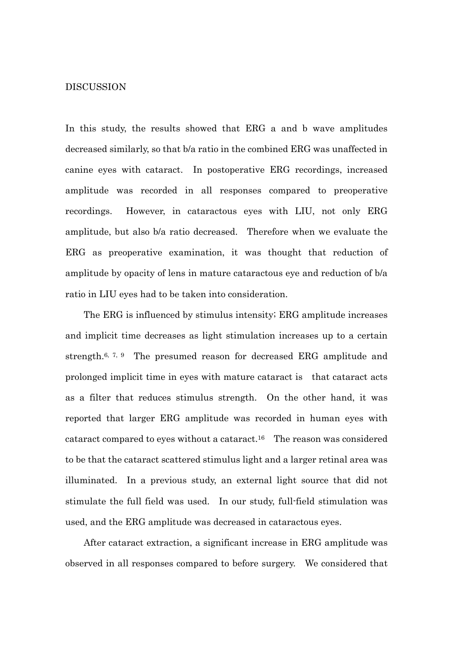## DISCUSSION

In this study, the results showed that ERG a and b wave amplitudes decreased similarly, so that b/a ratio in the combined ERG was unaffected in canine eyes with cataract. In postoperative ERG recordings, increased amplitude was recorded in all responses compared to preoperative recordings. However, in cataractous eyes with LIU, not only ERG amplitude, but also b/a ratio decreased. Therefore when we evaluate the ERG as preoperative examination, it was thought that reduction of amplitude by opacity of lens in mature cataractous eye and reduction of b/a ratio in LIU eyes had to be taken into consideration.

 The ERG is influenced by stimulus intensity; ERG amplitude increases and implicit time decreases as light stimulation increases up to a certain strength.<sup>6, 7, 9</sup> The presumed reason for decreased ERG amplitude and prolonged implicit time in eyes with mature cataract is that cataract acts as a filter that reduces stimulus strength. On the other hand, it was reported that larger ERG amplitude was recorded in human eyes with cataract compared to eyes without a cataract.16 The reason was considered to be that the cataract scattered stimulus light and a larger retinal area was illuminated. In a previous study, an external light source that did not stimulate the full field was used. In our study, full-field stimulation was used, and the ERG amplitude was decreased in cataractous eyes.

 After cataract extraction, a significant increase in ERG amplitude was observed in all responses compared to before surgery. We considered that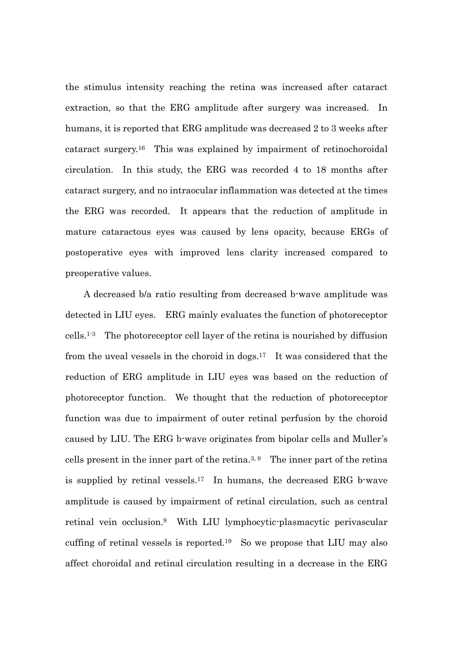the stimulus intensity reaching the retina was increased after cataract extraction, so that the ERG amplitude after surgery was increased. In humans, it is reported that ERG amplitude was decreased 2 to 3 weeks after cataract surgery.16 This was explained by impairment of retinochoroidal circulation. In this study, the ERG was recorded 4 to 18 months after cataract surgery, and no intraocular inflammation was detected at the times the ERG was recorded. It appears that the reduction of amplitude in mature cataractous eyes was caused by lens opacity, because ERGs of postoperative eyes with improved lens clarity increased compared to preoperative values.

 A decreased b/a ratio resulting from decreased b-wave amplitude was detected in LIU eyes. ERG mainly evaluates the function of photoreceptor cells.1-3 The photoreceptor cell layer of the retina is nourished by diffusion from the uveal vessels in the choroid in dogs.17 It was considered that the reduction of ERG amplitude in LIU eyes was based on the reduction of photoreceptor function. We thought that the reduction of photoreceptor function was due to impairment of outer retinal perfusion by the choroid caused by LIU. The ERG b-wave originates from bipolar cells and Muller's cells present in the inner part of the retina.<sup>3, 9</sup> The inner part of the retina is supplied by retinal vessels.17 In humans, the decreased ERG b-wave amplitude is caused by impairment of retinal circulation, such as central retinal vein occlusion.9 With LIU lymphocytic-plasmacytic perivascular cuffing of retinal vessels is reported.19 So we propose that LIU may also affect choroidal and retinal circulation resulting in a decrease in the ERG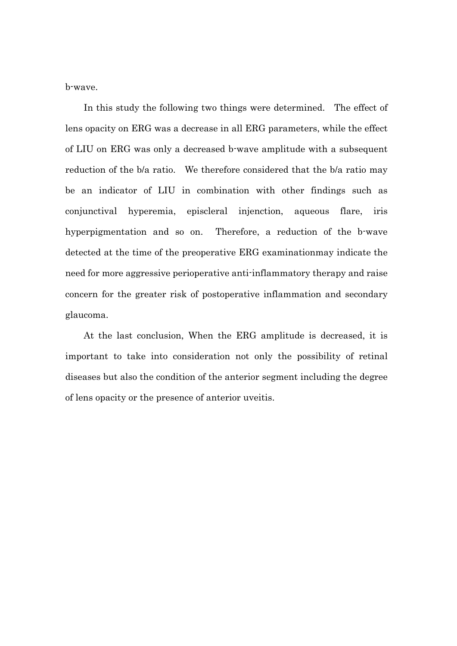b-wave.

In this study the following two things were determined. The effect of lens opacity on ERG was a decrease in all ERG parameters, while the effect of LIU on ERG was only a decreased b-wave amplitude with a subsequent reduction of the b/a ratio. We therefore considered that the b/a ratio may be an indicator of LIU in combination with other findings such as conjunctival hyperemia, episcleral injenction, aqueous flare, iris hyperpigmentation and so on. Therefore, a reduction of the b-wave detected at the time of the preoperative ERG examinationmay indicate the need for more aggressive perioperative anti-inflammatory therapy and raise concern for the greater risk of postoperative inflammation and secondary glaucoma.

At the last conclusion, When the ERG amplitude is decreased, it is important to take into consideration not only the possibility of retinal diseases but also the condition of the anterior segment including the degree of lens opacity or the presence of anterior uveitis.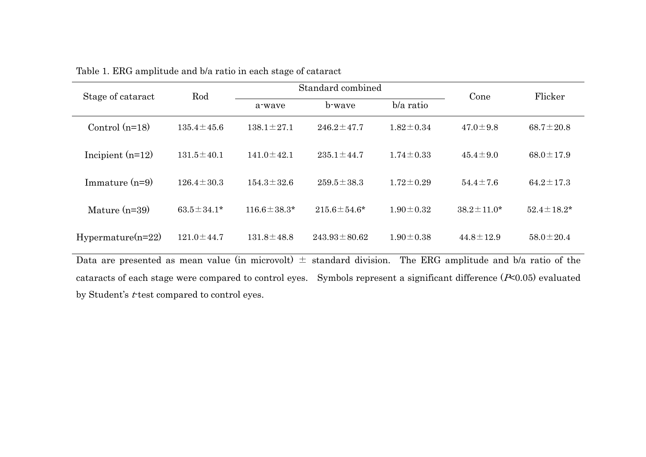| Stage of cataract                                                                                                           | Rod              |                   | Standard combined  | Cone            | Flicker          |                  |  |
|-----------------------------------------------------------------------------------------------------------------------------|------------------|-------------------|--------------------|-----------------|------------------|------------------|--|
|                                                                                                                             |                  | a-wave            | b-wave             | b/a ratio       |                  |                  |  |
| Control $(n=18)$                                                                                                            | $135.4 \pm 45.6$ | $138.1 \pm 27.1$  | $246.2 \pm 47.7$   | $1.82 \pm 0.34$ | $47.0 \pm 9.8$   | $68.7 \pm 20.8$  |  |
| Incipient $(n=12)$                                                                                                          | $131.5 \pm 40.1$ | $141.0 \pm 42.1$  | $235.1 \pm 44.7$   | $1.74 \pm 0.33$ | $45.4 \pm 9.0$   | $68.0 \pm 17.9$  |  |
| Immature $(n=9)$                                                                                                            | $126.4 \pm 30.3$ | $154.3 \pm 32.6$  | $259.5 \pm 38.3$   | $1.72 \pm 0.29$ | $54.4 \pm 7.6$   | $64.2 \pm 17.3$  |  |
| Mature $(n=39)$                                                                                                             | $63.5 \pm 34.1*$ | $116.6 \pm 38.3*$ | $215.6 \pm 54.6^*$ | $1.90 \pm 0.32$ | $38.2 \pm 11.0*$ | $52.4 \pm 18.2*$ |  |
| $Hypermature(n=22)$                                                                                                         | $121.0 \pm 44.7$ | $131.8 \pm 48.8$  | $243.93 \pm 80.62$ | $1.90 \pm 0.38$ | $44.8 \pm 12.9$  | $58.0 \pm 20.4$  |  |
| Data are presented as mean value (in microvolt) $\pm$ standard division.<br>The ERG amplitude and b/a ratio of the          |                  |                   |                    |                 |                  |                  |  |
| cataracts of each stage were compared to control eyes. Symbols represent a significant difference $(\infty 0.05)$ evaluated |                  |                   |                    |                 |                  |                  |  |

| Table 1. ERG amplitude and b/a ratio in each stage of cataract |  |  |
|----------------------------------------------------------------|--|--|
|                                                                |  |  |

by Student's *t*-test compared to control eyes.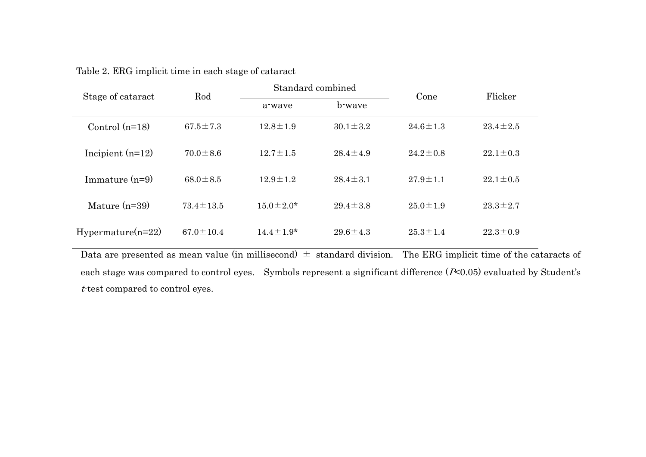| Stage of cataract   | Rod             | Standard combined |                | Cone           | Flicker        |  |
|---------------------|-----------------|-------------------|----------------|----------------|----------------|--|
|                     |                 | a-wave            | b-wave         |                |                |  |
| Control $(n=18)$    | $67.5 \pm 7.3$  | $12.8 \pm 1.9$    | $30.1 \pm 3.2$ | $24.6 \pm 1.3$ | $23.4 \pm 2.5$ |  |
| Incipient $(n=12)$  | $70.0 \pm 8.6$  | $12.7 \pm 1.5$    | $28.4 \pm 4.9$ | $24.2 \pm 0.8$ | $22.1 \pm 0.3$ |  |
| Immature $(n=9)$    | $68.0 \pm 8.5$  | $12.9 \pm 1.2$    | $28.4 \pm 3.1$ | $27.9 \pm 1.1$ | $22.1 \pm 0.5$ |  |
| Mature $(n=39)$     | $73.4 \pm 13.5$ | $15.0 \pm 2.0^*$  | $29.4 \pm 3.8$ | $25.0 \pm 1.9$ | $23.3 \pm 2.7$ |  |
| $Hypermature(n=22)$ | $67.0 \pm 10.4$ | $14.4 \pm 1.9*$   | $29.6 \pm 4.3$ | $25.3 \pm 1.4$ | $22.3 \pm 0.9$ |  |

Table 2. ERG implicit time in each stage of cataract

Data are presented as mean value (in millisecond)  $\pm$  standard division. The ERG implicit time of the cataracts of each stage was compared to control eyes. Symbols represent a significant difference (P<0.05) evaluated by Student's  $t$ -test compared to control eyes.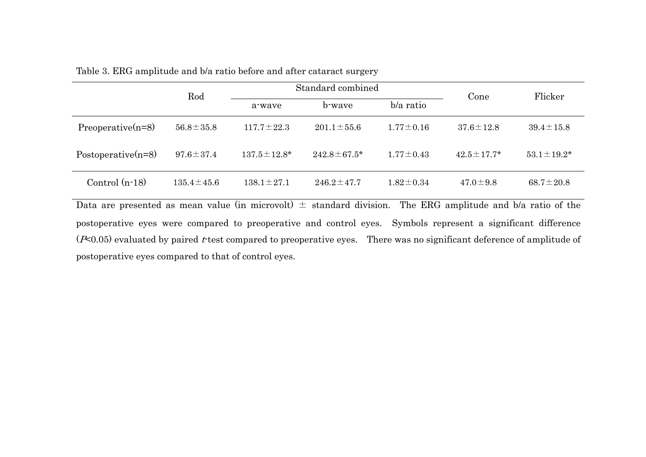|                                                                                                                    | Rod              |                    | Standard combined  | Cone            | Flicker           |                   |  |
|--------------------------------------------------------------------------------------------------------------------|------------------|--------------------|--------------------|-----------------|-------------------|-------------------|--|
|                                                                                                                    |                  | a-wave             | b-waye             | $b/a$ ratio     |                   |                   |  |
| $Preoperative(n=8)$                                                                                                | $56.8 \pm 35.8$  | $117.7 \pm 22.3$   | $201.1 \pm 55.6$   | $1.77 \pm 0.16$ | $37.6 \pm 12.8$   | $39.4 \pm 15.8$   |  |
| Postoperative $(n=8)$                                                                                              | $97.6 \pm 37.4$  | $137.5 \pm 12.8^*$ | $242.8 \pm 67.5^*$ | $1.77 \pm 0.43$ | $42.5 \pm 17.7^*$ | $53.1 \pm 19.2^*$ |  |
| Control $(n-18)$                                                                                                   | $135.4 \pm 45.6$ | $138.1 \pm 27.1$   | $246.2 \pm 47.7$   | $1.82 \pm 0.34$ | $47.0 \pm 9.8$    | $68.7 \pm 20.8$   |  |
| Data are presented as mean value (in microvolt) $\pm$ standard division.<br>The ERG amplitude and b/a ratio of the |                  |                    |                    |                 |                   |                   |  |

|  | Table 3. ERG amplitude and b/a ratio before and after cataract surgery |  |  |  |  |  |
|--|------------------------------------------------------------------------|--|--|--|--|--|
|--|------------------------------------------------------------------------|--|--|--|--|--|

postoperative eyes were compared to preoperative and control eyes. Symbols represent a significant difference ( $P<sub>0.05</sub>$ ) evaluated by paired t test compared to preoperative eyes. There was no significant deference of amplitude of postoperative eyes compared to that of control eyes.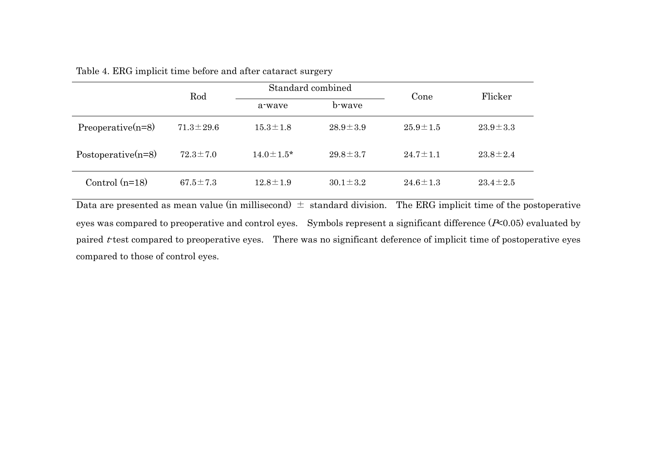|                       | Rod             | Standard combined |                | Cone           | Flicker        |
|-----------------------|-----------------|-------------------|----------------|----------------|----------------|
|                       |                 | a-wave            | b-wave         |                |                |
| $Preoperative(n=8)$   | $71.3 \pm 29.6$ | $15.3 \pm 1.8$    | $28.9 \pm 3.9$ | $25.9 \pm 1.5$ | $23.9 \pm 3.3$ |
| Postoperative $(n=8)$ | $72.3 \pm 7.0$  | $14.0 \pm 1.5^*$  | $29.8 \pm 3.7$ | $24.7 \pm 1.1$ | $23.8 \pm 2.4$ |
| Control $(n=18)$      | $67.5 \pm 7.3$  | $12.8 \pm 1.9$    | $30.1 \pm 3.2$ | $24.6 \pm 1.3$ | $23.4 \pm 2.5$ |

Table 4. ERG implicit time before and after cataract surgery

Data are presented as mean value (in millisecond)  $\pm$  standard division. The ERG implicit time of the postoperative eyes was compared to preoperative and control eyes. Symbols represent a significant difference ( $P$ <0.05) evaluated by paired  $t$  test compared to preoperative eyes. There was no significant deference of implicit time of postoperative eyes compared to those of control eyes.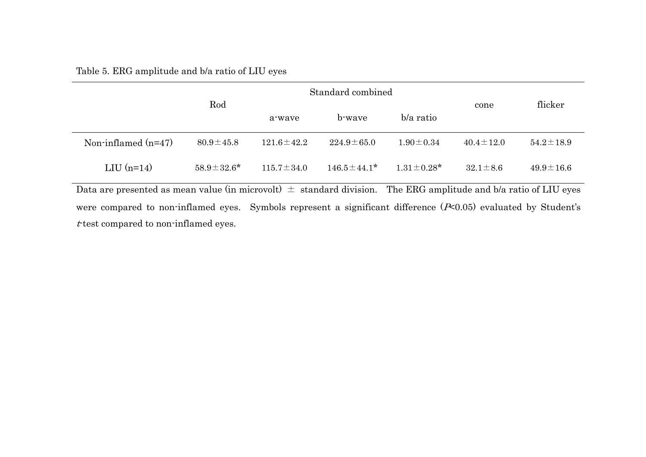|                       | Rod               |                  | Standard combined |                   | flicker         |                 |
|-----------------------|-------------------|------------------|-------------------|-------------------|-----------------|-----------------|
|                       |                   | a-wave           | b-waye            | $b/a$ ratio       | cone            |                 |
| Non-inflamed $(n=47)$ | $80.9 \pm 45.8$   | $121.6 \pm 42.2$ | $224.9 \pm 65.0$  | $1.90 \pm 0.34$   | $40.4 \pm 12.0$ | $54.2 \pm 18.9$ |
| LIU $(n=14)$          | $58.9 \pm 32.6^*$ | $115.7 \pm 34.0$ | $146.5 \pm 44.1*$ | $1.31 \pm 0.28^*$ | $32.1 \pm 8.6$  | $49.9 \pm 16.6$ |

Data are presented as mean value (in microvolt)  $\pm$  standard division. The ERG amplitude and b/a ratio of LIU eyes were compared to non-inflamed eyes. Symbols represent a significant difference  $(F<0.05)$  evaluated by Student's  $t$ -test compared to non-inflamed eyes.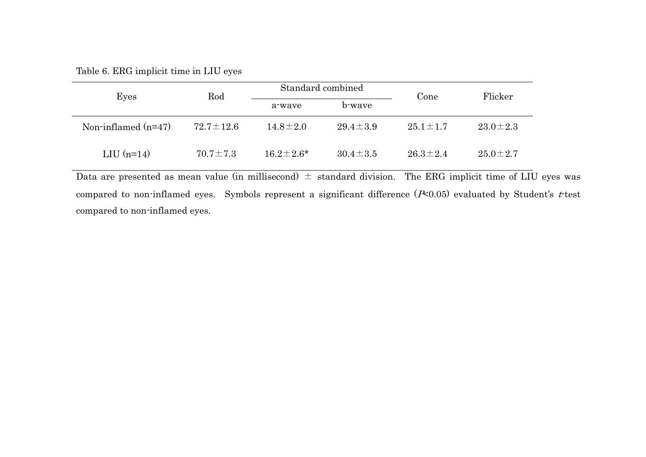Table 6. ERG implicit time in LIU eyes

| Eyes                  | Rod             | Standard combined |                | Cone           | Flicker        |  |
|-----------------------|-----------------|-------------------|----------------|----------------|----------------|--|
|                       |                 | a-wave            | b-wave         |                |                |  |
| Non-inflamed $(n=47)$ | $72.7 \pm 12.6$ | $14.8 \pm 2.0$    | $29.4 \pm 3.9$ | $25.1 \pm 1.7$ | $23.0 \pm 2.3$ |  |
| LIU $(n=14)$          | $70.7 \pm 7.3$  | $16.2 \pm 2.6^*$  | $30.4 \pm 3.5$ | $26.3 \pm 2.4$ | $25.0 \pm 2.7$ |  |

Data are presented as mean value (in millisecond)  $\pm$  standard division. The ERG implicit time of LIU eyes was compared to non-inflamed eyes. Symbols represent a significant difference  $(F<0.05)$  evaluated by Student's t-test compared to non-inflamed eyes.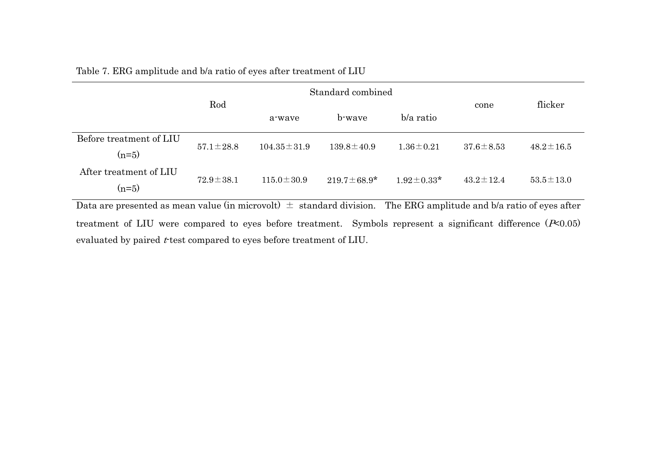|  | Table 7. ERG amplitude and b/a ratio of eyes after treatment of LIU |
|--|---------------------------------------------------------------------|
|  |                                                                     |

|                                                                                                                           |                 |                   | Standard combined  |                  |                 |                 |  |
|---------------------------------------------------------------------------------------------------------------------------|-----------------|-------------------|--------------------|------------------|-----------------|-----------------|--|
|                                                                                                                           | Rod             | a-wave            | b-wave             | b/a ratio        | cone            | flicker         |  |
| Before treatment of LIU<br>$(n=5)$                                                                                        | $57.1 \pm 28.8$ | $104.35 \pm 31.9$ | $139.8 \pm 40.9$   | $1.36 \pm 0.21$  | $37.6 \pm 8.53$ | $48.2 \pm 16.5$ |  |
| After treatment of LIU<br>$(n=5)$                                                                                         | $72.9 \pm 38.1$ | $115.0 \pm 30.9$  | $219.7 \pm 68.9^*$ | $1.92 \pm 0.33*$ | $43.2 \pm 12.4$ | $53.5 \pm 13.0$ |  |
| Data are presented as mean value (in microvolt) $\pm$ standard division.<br>The ERG amplitude and b/a ratio of eyes after |                 |                   |                    |                  |                 |                 |  |
| treatment of LIU were compared to eyes before treatment. Symbols represent a significant difference $(\infty 0.05)$       |                 |                   |                    |                  |                 |                 |  |

evaluated by paired  $t$ -test compared to eyes before treatment of LIU.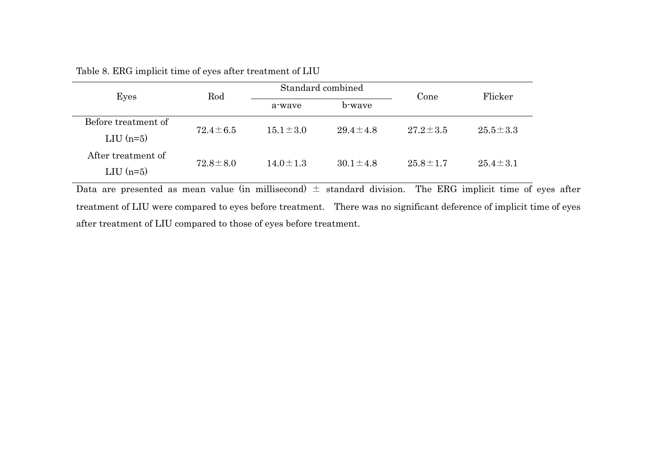| Eyes                               | Rod            |                | Standard combined | Cone           | Flicker        |  |
|------------------------------------|----------------|----------------|-------------------|----------------|----------------|--|
|                                    |                | a-wave         | b-wave            |                |                |  |
| Before treatment of<br>LIU $(n=5)$ | $72.4 \pm 6.5$ | $15.1 \pm 3.0$ | $29.4 \pm 4.8$    | $27.2 \pm 3.5$ | $25.5 \pm 3.3$ |  |
| After treatment of<br>$LIU$ (n=5)  | $72.8 \pm 8.0$ | $14.0 \pm 1.3$ | $30.1 \pm 4.8$    | $25.8 \pm 1.7$ | $25.4 \pm 3.1$ |  |

Table 8. ERG implicit time of eyes after treatment of LIU

Data are presented as mean value (in millisecond)  $\pm$  standard division. The ERG implicit time of eyes after treatment of LIU were compared to eyes before treatment. There was no significant deference of implicit time of eyes after treatment of LIU compared to those of eyes before treatment.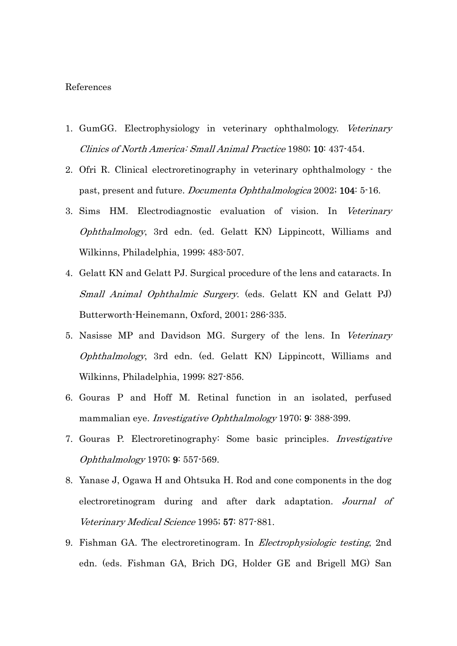### References

- 1. GumGG. Electrophysiology in veterinary ophthalmology. Veterinary Clinics of North America: Small Animal Practice 1980; 10: 437-454.
- 2. Ofri R. Clinical electroretinography in veterinary ophthalmology the past, present and future. Documenta Ophthalmologica 2002; 104: 5-16.
- 3. Sims HM. Electrodiagnostic evaluation of vision. In Veterinary Ophthalmology, 3rd edn. (ed. Gelatt KN) Lippincott, Williams and Wilkinns, Philadelphia, 1999; 483-507.
- 4. Gelatt KN and Gelatt PJ. Surgical procedure of the lens and cataracts. In Small Animal Ophthalmic Surgery. (eds. Gelatt KN and Gelatt PJ) Butterworth-Heinemann, Oxford, 2001; 286-335.
- 5. Nasisse MP and Davidson MG. Surgery of the lens. In Veterinary Ophthalmology, 3rd edn. (ed. Gelatt KN) Lippincott, Williams and Wilkinns, Philadelphia, 1999; 827-856.
- 6. Gouras P and Hoff M. Retinal function in an isolated, perfused mammalian eye. *Investigative Ophthalmology* 1970; 9: 388-399.
- 7. Gouras P. Electroretinography: Some basic principles. Investigative Ophthalmology 1970; 9: 557-569.
- 8. Yanase J, Ogawa H and Ohtsuka H. Rod and cone components in the dog electroretinogram during and after dark adaptation. Journal of Veterinary Medical Science 1995; 57: 877-881.
- 9. Fishman GA. The electroretinogram. In Electrophysiologic testing, 2nd edn. (eds. Fishman GA, Brich DG, Holder GE and Brigell MG) San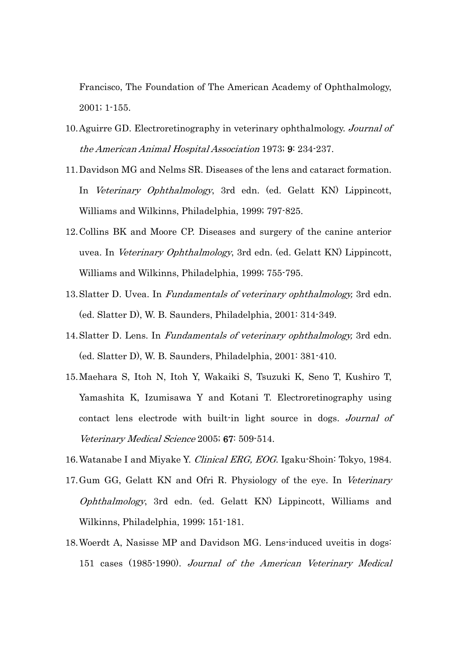Francisco, The Foundation of The American Academy of Ophthalmology, 2001; 1-155.

- 10. Aguirre GD. Electroretinography in veterinary ophthalmology. Journal of the American Animal Hospital Association 1973; 9: 234-237.
- 11. Davidson MG and Nelms SR. Diseases of the lens and cataract formation. In Veterinary Ophthalmology, 3rd edn. (ed. Gelatt KN) Lippincott, Williams and Wilkinns, Philadelphia, 1999; 797-825.
- 12. Collins BK and Moore CP. Diseases and surgery of the canine anterior uvea. In Veterinary Ophthalmology, 3rd edn. (ed. Gelatt KN) Lippincott, Williams and Wilkinns, Philadelphia, 1999; 755-795.
- 13. Slatter D. Uvea. In Fundamentals of veterinary ophthalmology, 3rd edn. (ed. Slatter D), W. B. Saunders, Philadelphia, 2001: 314-349.
- 14. Slatter D. Lens. In Fundamentals of veterinary ophthalmology, 3rd edn. (ed. Slatter D), W. B. Saunders, Philadelphia, 2001: 381-410.
- 15. Maehara S, Itoh N, Itoh Y, Wakaiki S, Tsuzuki K, Seno T, Kushiro T, Yamashita K, Izumisawa Y and Kotani T. Electroretinography using contact lens electrode with built-in light source in dogs. Journal of Veterinary Medical Science 2005; 67: 509-514.
- 16. Watanabe I and Miyake Y. Clinical ERG, EOG. Igaku-Shoin: Tokyo, 1984.
- 17. Gum GG, Gelatt KN and Ofri R. Physiology of the eye. In Veterinary Ophthalmology, 3rd edn. (ed. Gelatt KN) Lippincott, Williams and Wilkinns, Philadelphia, 1999; 151-181.
- 18. Woerdt A, Nasisse MP and Davidson MG. Lens-induced uveitis in dogs: 151 cases (1985-1990). Journal of the American Veterinary Medical